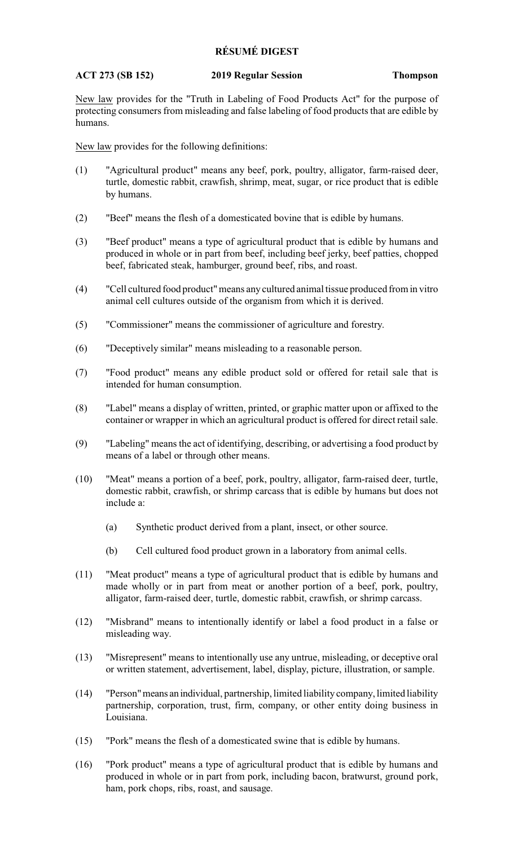## **RÉSUMÉ DIGEST**

## **ACT 273 (SB 152) 2019 Regular Session Thompson**

New law provides for the "Truth in Labeling of Food Products Act" for the purpose of protecting consumers from misleading and false labeling of food products that are edible by humans.

New law provides for the following definitions:

- (1) "Agricultural product" means any beef, pork, poultry, alligator, farm-raised deer, turtle, domestic rabbit, crawfish, shrimp, meat, sugar, or rice product that is edible by humans.
- (2) "Beef" means the flesh of a domesticated bovine that is edible by humans.
- (3) "Beef product" means a type of agricultural product that is edible by humans and produced in whole or in part from beef, including beef jerky, beef patties, chopped beef, fabricated steak, hamburger, ground beef, ribs, and roast.
- (4) "Cell cultured food product"means any cultured animal tissue produced from in vitro animal cell cultures outside of the organism from which it is derived.
- (5) "Commissioner" means the commissioner of agriculture and forestry.
- (6) "Deceptively similar" means misleading to a reasonable person.
- (7) "Food product" means any edible product sold or offered for retail sale that is intended for human consumption.
- (8) "Label" means a display of written, printed, or graphic matter upon or affixed to the container or wrapper in which an agricultural product is offered for direct retail sale.
- (9) "Labeling" means the act of identifying, describing, or advertising a food product by means of a label or through other means.
- (10) "Meat" means a portion of a beef, pork, poultry, alligator, farm-raised deer, turtle, domestic rabbit, crawfish, or shrimp carcass that is edible by humans but does not include a:
	- (a) Synthetic product derived from a plant, insect, or other source.
	- (b) Cell cultured food product grown in a laboratory from animal cells.
- (11) "Meat product" means a type of agricultural product that is edible by humans and made wholly or in part from meat or another portion of a beef, pork, poultry, alligator, farm-raised deer, turtle, domestic rabbit, crawfish, or shrimp carcass.
- (12) "Misbrand" means to intentionally identify or label a food product in a false or misleading way.
- (13) "Misrepresent" means to intentionally use any untrue, misleading, or deceptive oral or written statement, advertisement, label, display, picture, illustration, or sample.
- (14) "Person"means an individual, partnership, limited liability company, limited liability partnership, corporation, trust, firm, company, or other entity doing business in Louisiana.
- (15) "Pork" means the flesh of a domesticated swine that is edible by humans.
- (16) "Pork product" means a type of agricultural product that is edible by humans and produced in whole or in part from pork, including bacon, bratwurst, ground pork, ham, pork chops, ribs, roast, and sausage.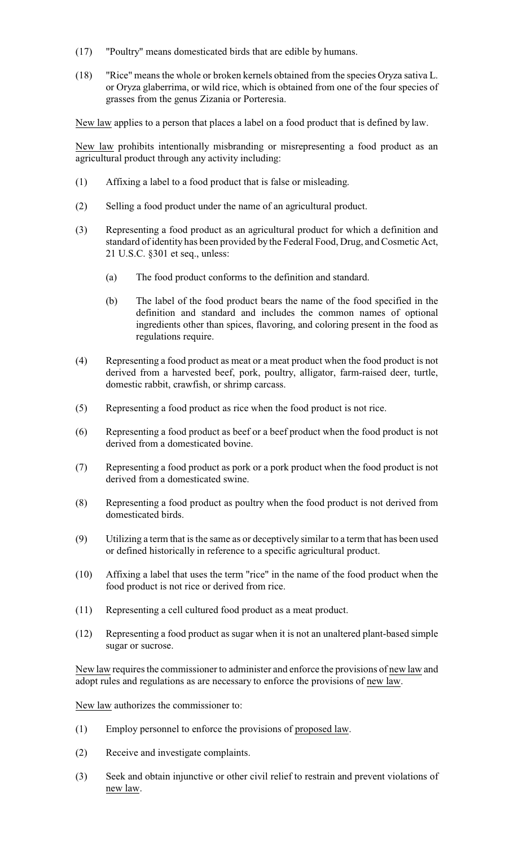- (17) "Poultry" means domesticated birds that are edible by humans.
- (18) "Rice" means the whole or broken kernels obtained from the species Oryza sativa L. or Oryza glaberrima, or wild rice, which is obtained from one of the four species of grasses from the genus Zizania or Porteresia.

New law applies to a person that places a label on a food product that is defined by law.

New law prohibits intentionally misbranding or misrepresenting a food product as an agricultural product through any activity including:

- (1) Affixing a label to a food product that is false or misleading.
- (2) Selling a food product under the name of an agricultural product.
- (3) Representing a food product as an agricultural product for which a definition and standard of identity has been provided by the Federal Food, Drug, and Cosmetic Act, 21 U.S.C. §301 et seq., unless:
	- (a) The food product conforms to the definition and standard.
	- (b) The label of the food product bears the name of the food specified in the definition and standard and includes the common names of optional ingredients other than spices, flavoring, and coloring present in the food as regulations require.
- (4) Representing a food product as meat or a meat product when the food product is not derived from a harvested beef, pork, poultry, alligator, farm-raised deer, turtle, domestic rabbit, crawfish, or shrimp carcass.
- (5) Representing a food product as rice when the food product is not rice.
- (6) Representing a food product as beef or a beef product when the food product is not derived from a domesticated bovine.
- (7) Representing a food product as pork or a pork product when the food product is not derived from a domesticated swine.
- (8) Representing a food product as poultry when the food product is not derived from domesticated birds.
- (9) Utilizing a term that is the same as or deceptively similar to a term that has been used or defined historically in reference to a specific agricultural product.
- (10) Affixing a label that uses the term "rice" in the name of the food product when the food product is not rice or derived from rice.
- (11) Representing a cell cultured food product as a meat product.
- (12) Representing a food product as sugar when it is not an unaltered plant-based simple sugar or sucrose.

New law requires the commissioner to administer and enforce the provisions of new law and adopt rules and regulations as are necessary to enforce the provisions of new law.

New law authorizes the commissioner to:

- (1) Employ personnel to enforce the provisions of proposed law.
- (2) Receive and investigate complaints.
- (3) Seek and obtain injunctive or other civil relief to restrain and prevent violations of new law.